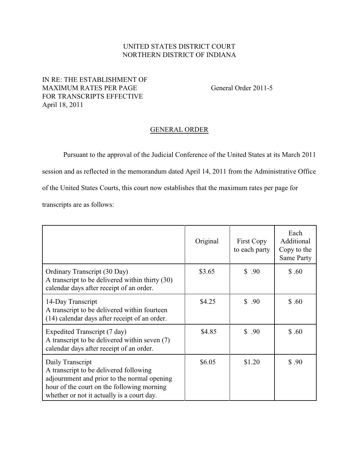## UNITED STATES DISTRICT COURT NORTHERN DISTRICT OF INDIANA

## IN RE: THE ESTABLISHMENT OF MAXIMUM RATES PER PAGE General Order 2011-5 FOR TRANSCRIPTS EFFECTIVE April 18, 2011

## GENERAL ORDER

Pursuant to the approval of the Judicial Conference of the United States at its March 2011 session and as reflected in the memorandum dated April 14, 2011 from the Administrative Office of the United States Courts, this court now establishes that the maximum rates per page for

transcripts are as follows:

|                                                                                                                                                                                                       | Original | First Copy<br>to each party | Each<br>Additional<br>Copy to the<br>Same Party |
|-------------------------------------------------------------------------------------------------------------------------------------------------------------------------------------------------------|----------|-----------------------------|-------------------------------------------------|
| Ordinary Transcript (30 Day)<br>A transcript to be delivered within thirty (30)<br>calendar days after receipt of an order.                                                                           | \$3.65   | \$.90                       | \$.60                                           |
| 14-Day Transcript<br>A transcript to be delivered within fourteen<br>(14) calendar days after receipt of an order.                                                                                    | \$4.25   | \$.90                       | \$.60                                           |
| Expedited Transcript (7 day)<br>A transcript to be delivered within seven (7)<br>calendar days after receipt of an order.                                                                             | \$4.85   | \$.90                       | \$.60                                           |
| Daily Transcript<br>A transcript to be delivered following<br>adjournment and prior to the normal opening<br>hour of the court on the following morning<br>whether or not it actually is a court day. | \$6.05   | \$1.20                      | \$.90                                           |